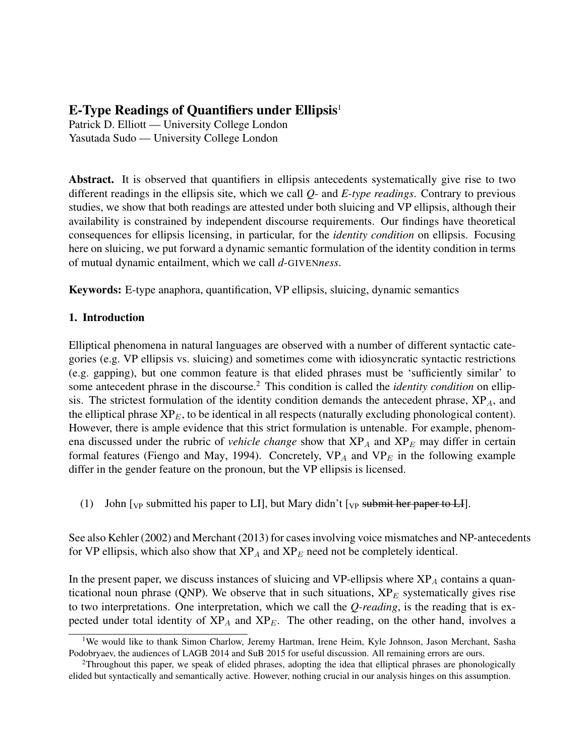# E-Type Readings of Quantifiers under Ellipsis $1$

Patrick D. Elliott — University College London Yasutada Sudo — University College London

Abstract. It is observed that quantifiers in ellipsis antecedents systematically give rise to two different readings in the ellipsis site, which we call *Q-* and *E-type readings*. Contrary to previous studies, we show that both readings are attested under both sluicing and VP ellipsis, although their availability is constrained by independent discourse requirements. Our findings have theoretical consequences for ellipsis licensing, in particular, for the *identity condition* on ellipsis. Focusing here on sluicing, we put forward a dynamic semantic formulation of the identity condition in terms of mutual dynamic entailment, which we call *d-*GIVEN*ness*.

Keywords: E-type anaphora, quantification, VP ellipsis, sluicing, dynamic semantics

## 1. Introduction

Elliptical phenomena in natural languages are observed with a number of different syntactic categories (e.g. VP ellipsis vs. sluicing) and sometimes come with idiosyncratic syntactic restrictions (e.g. gapping), but one common feature is that elided phrases must be 'sufficiently similar' to some antecedent phrase in the discourse.<sup>2</sup> This condition is called the *identity condition* on ellipsis. The strictest formulation of the identity condition demands the antecedent phrase,  $XP_A$ , and the elliptical phrase  $XP_E$ , to be identical in all respects (naturally excluding phonological content). However, there is ample evidence that this strict formulation is untenable. For example, phenomena discussed under the rubric of *vehicle change* show that  $XP_A$  and  $XP_E$  may differ in certain formal features (Fiengo and May, 1994). Concretely,  $VP_A$  and  $VP_E$  in the following example differ in the gender feature on the pronoun, but the VP ellipsis is licensed.

(1) John  $\lbrack v_P \rbrack$  submitted his paper to LI], but Mary didn't  $\lbrack v_P \rbrack$  submit her paper to LI].

See also Kehler (2002) and Merchant (2013) for cases involving voice mismatches and NP-antecedents for VP ellipsis, which also show that  $XP_A$  and  $XP_E$  need not be completely identical.

In the present paper, we discuss instances of sluicing and VP-ellipsis where  $XP<sub>A</sub>$  contains a quanticational noun phrase (QNP). We observe that in such situations,  $XP_E$  systematically gives rise to two interpretations. One interpretation, which we call the *Q-reading*, is the reading that is expected under total identity of  $XP_A$  and  $XP_E$ . The other reading, on the other hand, involves a

<sup>&</sup>lt;sup>1</sup>We would like to thank Simon Charlow, Jeremy Hartman, Irene Heim, Kyle Johnson, Jason Merchant, Sasha Podobryaev, the audiences of LAGB 2014 and SuB 2015 for useful discussion. All remaining errors are ours.

<sup>&</sup>lt;sup>2</sup>Throughout this paper, we speak of elided phrases, adopting the idea that elliptical phrases are phonologically elided but syntactically and semantically active. However, nothing crucial in our analysis hinges on this assumption.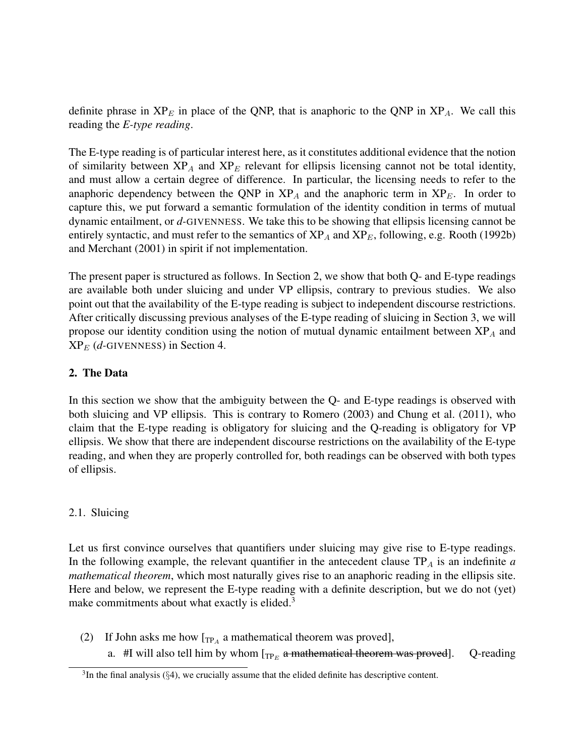definite phrase in  $XP_E$  in place of the QNP, that is anaphoric to the QNP in  $XP_A$ . We call this reading the *E-type reading*.

The E-type reading is of particular interest here, as it constitutes additional evidence that the notion of similarity between  $XP_A$  and  $XP_E$  relevant for ellipsis licensing cannot not be total identity, and must allow a certain degree of difference. In particular, the licensing needs to refer to the anaphoric dependency between the QNP in  $XP_A$  and the anaphoric term in  $XP_E$ . In order to capture this, we put forward a semantic formulation of the identity condition in terms of mutual dynamic entailment, or *d-*GIVENNESS. We take this to be showing that ellipsis licensing cannot be entirely syntactic, and must refer to the semantics of  $XP_A$  and  $XP_E$ , following, e.g. Rooth (1992b) and Merchant (2001) in spirit if not implementation.

The present paper is structured as follows. In Section 2, we show that both Q- and E-type readings are available both under sluicing and under VP ellipsis, contrary to previous studies. We also point out that the availability of the E-type reading is subject to independent discourse restrictions. After critically discussing previous analyses of the E-type reading of sluicing in Section 3, we will propose our identity condition using the notion of mutual dynamic entailment between  $XP<sub>A</sub>$  and  $XP_E$  (*d*-GIVENNESS) in Section 4.

## 2. The Data

In this section we show that the ambiguity between the Q- and E-type readings is observed with both sluicing and VP ellipsis. This is contrary to Romero (2003) and Chung et al. (2011), who claim that the E-type reading is obligatory for sluicing and the Q-reading is obligatory for VP ellipsis. We show that there are independent discourse restrictions on the availability of the E-type reading, and when they are properly controlled for, both readings can be observed with both types of ellipsis.

## 2.1. Sluicing

Let us first convince ourselves that quantifiers under sluicing may give rise to E-type readings. In the following example, the relevant quantifier in the antecedent clause  $TP<sub>A</sub>$  is an indefinite *a mathematical theorem*, which most naturally gives rise to an anaphoric reading in the ellipsis site. Here and below, we represent the E-type reading with a definite description, but we do not (yet) make commitments about what exactly is elided. $3$ 

- (2) If John asks me how  $[\text{TP}_A$  a mathematical theorem was proved],
	- a.  $#I$  will also tell him by whom  $\left[\text{TP}_E$  a mathematical theorem was proved]. Q-reading

 $3$ In the final analysis ( $\S$ 4), we crucially assume that the elided definite has descriptive content.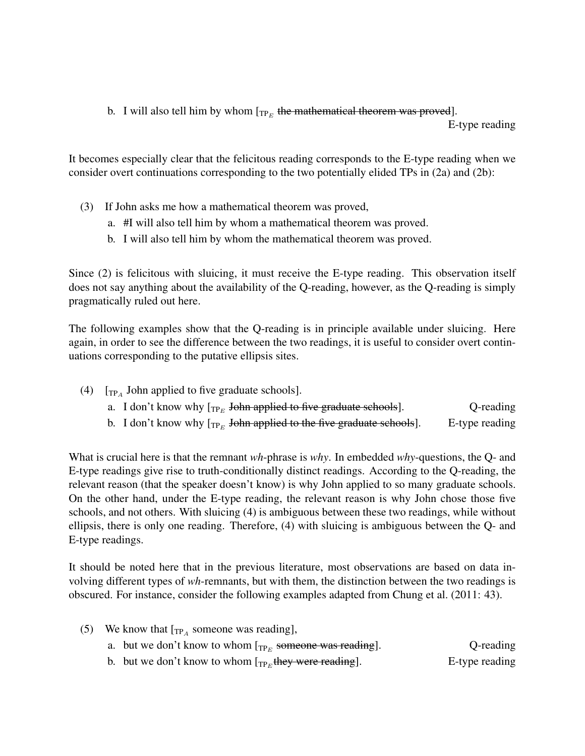b. I will also tell him by whom  $\Gamma_{\text{TP}_E}$  the mathematical theorem was proved].

E-type reading

It becomes especially clear that the felicitous reading corresponds to the E-type reading when we consider overt continuations corresponding to the two potentially elided TPs in (2a) and (2b):

- (3) If John asks me how a mathematical theorem was proved,
	- a. #I will also tell him by whom a mathematical theorem was proved.
	- b. I will also tell him by whom the mathematical theorem was proved.

Since (2) is felicitous with sluicing, it must receive the E-type reading. This observation itself does not say anything about the availability of the Q-reading, however, as the Q-reading is simply pragmatically ruled out here.

The following examples show that the Q-reading is in principle available under sluicing. Here again, in order to see the difference between the two readings, it is useful to consider overt continuations corresponding to the putative ellipsis sites.

| (4) $[\text{TP}_4]$ John applied to five graduate schools].                                                                                                                                                                                                                                                 |           |
|-------------------------------------------------------------------------------------------------------------------------------------------------------------------------------------------------------------------------------------------------------------------------------------------------------------|-----------|
| a. I don't know why $[\text{TP}_E$ John applied to five graduate schools].                                                                                                                                                                                                                                  | Q-reading |
| $\mathbf{1}$ , $\mathbf{1}$ , $\mathbf{1}$ , $\mathbf{1}$ , $\mathbf{1}$ , $\mathbf{1}$ , $\mathbf{1}$ , $\mathbf{1}$ , $\mathbf{1}$ , $\mathbf{1}$ , $\mathbf{1}$ , $\mathbf{1}$ , $\mathbf{1}$ , $\mathbf{1}$ , $\mathbf{1}$ , $\mathbf{1}$ , $\mathbf{1}$ , $\mathbf{1}$ , $\mathbf{1}$ , $\mathbf{1}$ , |           |

b. I don't know why  $\left[\text{TP}_E\right]$  John applied to the five graduate schools].  $E$ -type reading

What is crucial here is that the remnant *wh*-phrase is *why*. In embedded *why*-questions, the Q- and E-type readings give rise to truth-conditionally distinct readings. According to the Q-reading, the relevant reason (that the speaker doesn't know) is why John applied to so many graduate schools. On the other hand, under the E-type reading, the relevant reason is why John chose those five schools, and not others. With sluicing (4) is ambiguous between these two readings, while without ellipsis, there is only one reading. Therefore, (4) with sluicing is ambiguous between the Q- and E-type readings.

It should be noted here that in the previous literature, most observations are based on data involving different types of *wh*-remnants, but with them, the distinction between the two readings is obscured. For instance, consider the following examples adapted from Chung et al. (2011: 43).

|  | (5) We know that $[\text{TP}_4$ someone was reading],           |           |
|--|-----------------------------------------------------------------|-----------|
|  | a. but we don't know to whom $[\eta_{P_F}$ someone was reading. | Q-reading |

b. but we don't know to whom  $_{\text{TP}_E}$ they were reading]. E-type reading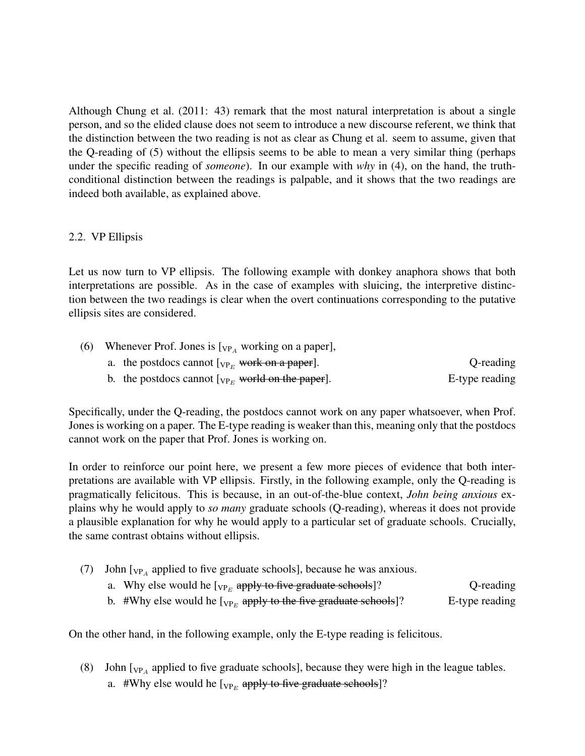Although Chung et al. (2011: 43) remark that the most natural interpretation is about a single person, and so the elided clause does not seem to introduce a new discourse referent, we think that the distinction between the two reading is not as clear as Chung et al. seem to assume, given that the Q-reading of (5) without the ellipsis seems to be able to mean a very similar thing (perhaps under the specific reading of *someone*). In our example with *why* in (4), on the hand, the truthconditional distinction between the readings is palpable, and it shows that the two readings are indeed both available, as explained above.

### 2.2. VP Ellipsis

Let us now turn to VP ellipsis. The following example with donkey anaphora shows that both interpretations are possible. As in the case of examples with sluicing, the interpretive distinction between the two readings is clear when the overt continuations corresponding to the putative ellipsis sites are considered.

|                | (6) Whenever Prof. Jones is $[\vee_{P_A}$ working on a paper],    |  |
|----------------|-------------------------------------------------------------------|--|
| Q-reading      | a. the postdocs cannot $[\vee_{\mathbb{P}_F}$ work on a paper.    |  |
| E-type reading | b. the postdocs cannot $[\vee_{\mathbb{P}_F}$ world on the paper. |  |

Specifically, under the Q-reading, the postdocs cannot work on any paper whatsoever, when Prof. Jones is working on a paper. The E-type reading is weaker than this, meaning only that the postdocs cannot work on the paper that Prof. Jones is working on.

In order to reinforce our point here, we present a few more pieces of evidence that both interpretations are available with VP ellipsis. Firstly, in the following example, only the Q-reading is pragmatically felicitous. This is because, in an out-of-the-blue context, *John being anxious* explains why he would apply to *so many* graduate schools (Q-reading), whereas it does not provide a plausible explanation for why he would apply to a particular set of graduate schools. Crucially, the same contrast obtains without ellipsis.

(7) John  $\lbrack v_{P_A}$  applied to five graduate schools], because he was anxious.

b.  $\#$ Why else would he [<sub>VPE</sub> apply to the five graduate schools]? E-type reading

On the other hand, in the following example, only the E-type reading is felicitous.

(8) John  $\lbrack v_{P_A}$  applied to five graduate schools], because they were high in the league tables. a.  $\#$ Why else would he [ $_{VP_E}$  apply to five graduate schools]?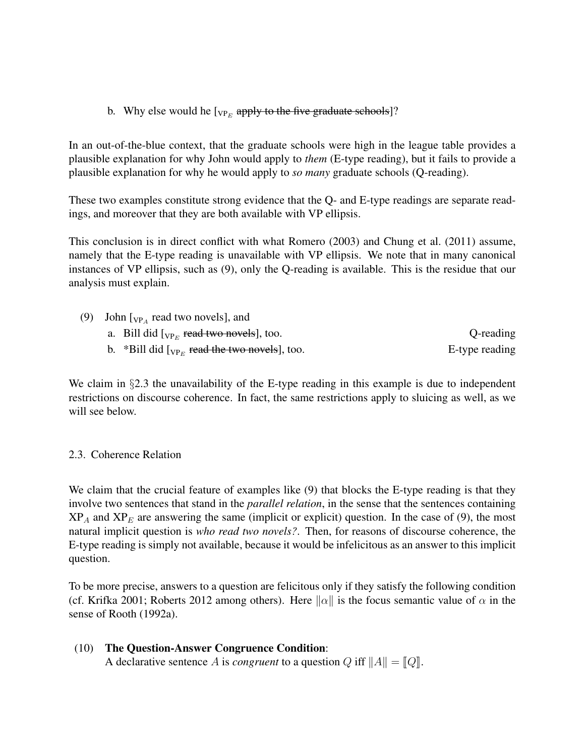b. Why else would he  $[\sqrt{V_{PE}}\$ apply to the five graduate schools]?

In an out-of-the-blue context, that the graduate schools were high in the league table provides a plausible explanation for why John would apply to *them* (E-type reading), but it fails to provide a plausible explanation for why he would apply to *so many* graduate schools (Q-reading).

These two examples constitute strong evidence that the Q- and E-type readings are separate readings, and moreover that they are both available with VP ellipsis.

This conclusion is in direct conflict with what Romero (2003) and Chung et al. (2011) assume, namely that the E-type reading is unavailable with VP ellipsis. We note that in many canonical instances of VP ellipsis, such as (9), only the Q-reading is available. This is the residue that our analysis must explain.

(9) John  $\left[_{VP_A} \right]$  read two novels], and a. Bill did  $[\vee_{\text{P}_E}$  read two novels], too.  $Q$ -reading b.  $*$ Bill did  $[\text{v}_{P_E}$  read the two novels], too. E-type reading

We claim in §2.3 the unavailability of the E-type reading in this example is due to independent restrictions on discourse coherence. In fact, the same restrictions apply to sluicing as well, as we will see below.

## 2.3. Coherence Relation

We claim that the crucial feature of examples like (9) that blocks the E-type reading is that they involve two sentences that stand in the *parallel relation*, in the sense that the sentences containing  $XP_A$  and  $XP_E$  are answering the same (implicit or explicit) question. In the case of (9), the most natural implicit question is *who read two novels?*. Then, for reasons of discourse coherence, the E-type reading is simply not available, because it would be infelicitous as an answer to this implicit question.

To be more precise, answers to a question are felicitous only if they satisfy the following condition (cf. Krifka 2001; Roberts 2012 among others). Here  $\|\alpha\|$  is the focus semantic value of  $\alpha$  in the sense of Rooth (1992a).

(10) The Question-Answer Congruence Condition: A declarative sentence A is *congruent* to a question Q iff  $||A|| = ||Q||$ .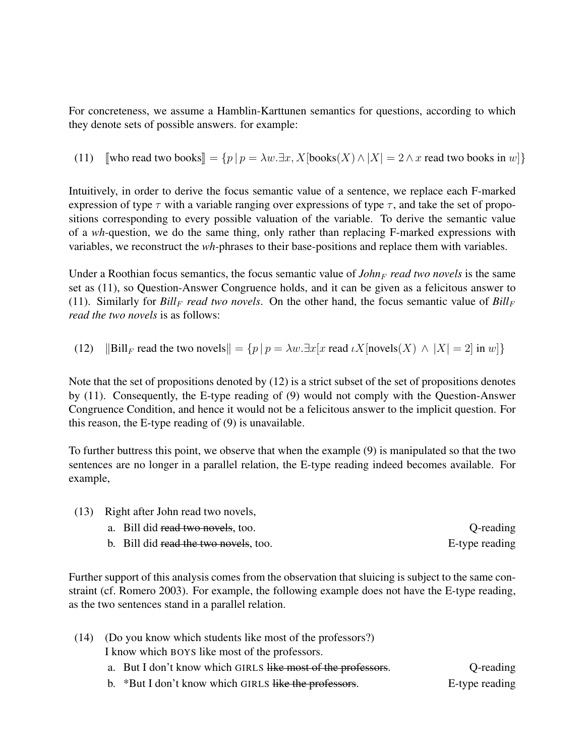For concreteness, we assume a Hamblin-Karttunen semantics for questions, according to which they denote sets of possible answers. for example:

(11)  $\forall$  Jwho read two books $\exists$  = { $p | p = \lambda w \exists x, X$  [books(X)  $\wedge |X| = 2 \wedge x$  read two books in w]}

Intuitively, in order to derive the focus semantic value of a sentence, we replace each F-marked expression of type  $\tau$  with a variable ranging over expressions of type  $\tau$ , and take the set of propositions corresponding to every possible valuation of the variable. To derive the semantic value of a *wh-*question, we do the same thing, only rather than replacing F-marked expressions with variables, we reconstruct the *wh-*phrases to their base-positions and replace them with variables.

Under a Roothian focus semantics, the focus semantic value of  $John_F$  *read two novels* is the same set as (11), so Question-Answer Congruence holds, and it can be given as a felicitous answer to (11). Similarly for  $Bill_F$  *read two novels*. On the other hand, the focus semantic value of  $Bill_F$ *read the two novels* is as follows:

(12)  $\|\text{Bill}_F \text{ read the two novels} = {p | p = \lambda w}.\exists x [x \text{ read } \iota X[\text{novels}(X) \land |X| = 2] \text{ in } w]\}$ 

Note that the set of propositions denoted by (12) is a strict subset of the set of propositions denotes by (11). Consequently, the E-type reading of (9) would not comply with the Question-Answer Congruence Condition, and hence it would not be a felicitous answer to the implicit question. For this reason, the E-type reading of (9) is unavailable.

To further buttress this point, we observe that when the example (9) is manipulated so that the two sentences are no longer in a parallel relation, the E-type reading indeed becomes available. For example,

- (13) Right after John read two novels,
	- a. Bill did read two novels, too. Q-reading b. Bill did read the two novels, too. The set of the set of the set of the set of the set of the set of the set of the set of the set of the set of the set of the set of the set of the set of the set of the set of the set

Further support of this analysis comes from the observation that sluicing is subject to the same constraint (cf. Romero 2003). For example, the following example does not have the E-type reading, as the two sentences stand in a parallel relation.

|  | (14) (Do you know which students like most of the professors?) |           |
|--|----------------------------------------------------------------|-----------|
|  | I know which BOYS like most of the professors.                 |           |
|  | a. But I don't know which GIRLS like most of the professors.   | Q-reading |
|  |                                                                |           |

b. \*But I don't know which GIRLS like the professors. E-type reading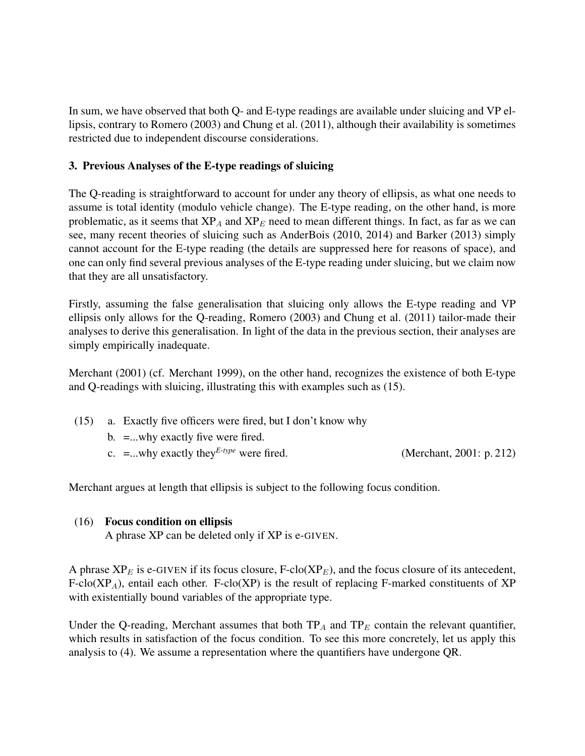In sum, we have observed that both Q- and E-type readings are available under sluicing and VP ellipsis, contrary to Romero (2003) and Chung et al. (2011), although their availability is sometimes restricted due to independent discourse considerations.

### 3. Previous Analyses of the E-type readings of sluicing

The Q-reading is straightforward to account for under any theory of ellipsis, as what one needs to assume is total identity (modulo vehicle change). The E-type reading, on the other hand, is more problematic, as it seems that  $XP_A$  and  $XP_E$  need to mean different things. In fact, as far as we can see, many recent theories of sluicing such as AnderBois (2010, 2014) and Barker (2013) simply cannot account for the E-type reading (the details are suppressed here for reasons of space), and one can only find several previous analyses of the E-type reading under sluicing, but we claim now that they are all unsatisfactory.

Firstly, assuming the false generalisation that sluicing only allows the E-type reading and VP ellipsis only allows for the Q-reading, Romero (2003) and Chung et al. (2011) tailor-made their analyses to derive this generalisation. In light of the data in the previous section, their analyses are simply empirically inadequate.

Merchant (2001) (cf. Merchant 1999), on the other hand, recognizes the existence of both E-type and Q-readings with sluicing, illustrating this with examples such as (15).

- (15) a. Exactly five officers were fired, but I don't know why
	- b. =...why exactly five were fired.
	- c. =...why exactly they<sup>E-type</sup> were fired. (Merchant, 2001: p. 212)

Merchant argues at length that ellipsis is subject to the following focus condition.

### (16) Focus condition on ellipsis

A phrase XP can be deleted only if XP is e-GIVEN.

A phrase  $XP_E$  is e-GIVEN if its focus closure, F-clo( $XP_E$ ), and the focus closure of its antecedent,  $F\text{-clo}(XP_A)$ , entail each other.  $F\text{-clo}(XP)$  is the result of replacing F-marked constituents of XP with existentially bound variables of the appropriate type.

Under the Q-reading, Merchant assumes that both  $TP_A$  and  $TP_E$  contain the relevant quantifier, which results in satisfaction of the focus condition. To see this more concretely, let us apply this analysis to (4). We assume a representation where the quantifiers have undergone QR.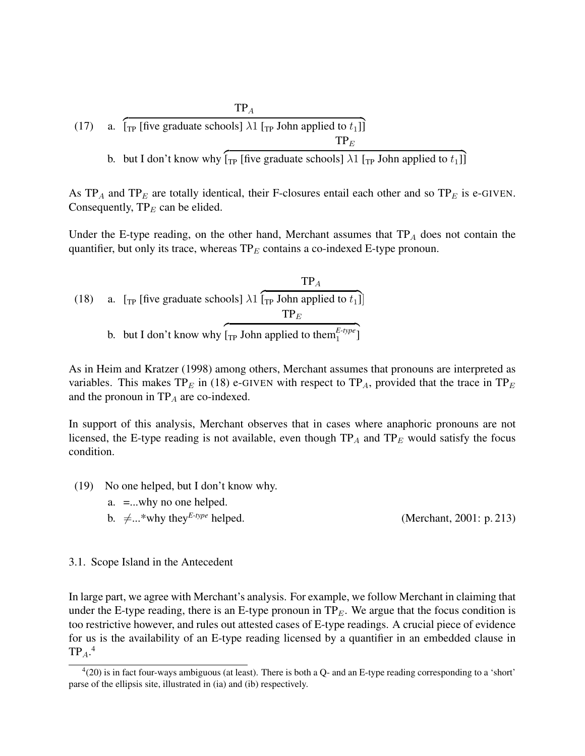(17) a. 
$$
\int_{\text{TP}}^{\text{TP}} [\text{five graduate schools}] \lambda 1 \left[ \text{TP John applied to } t_1 \right] ]
$$

b. but I don't know why  $\left[\begin{matrix} 1 \end{matrix}\right]$  [five graduate schools]  $\lambda$ 1  $\left[\begin{matrix} 1 \end{matrix}\right]$  John applied to  $t_1$ ]

As  $TP_A$  and  $TP_E$  are totally identical, their F-closures entail each other and so  $TP_E$  is e-GIVEN. Consequently,  $TP_E$  can be elided.

Under the E-type reading, on the other hand, Merchant assumes that  $TP_A$  does not contain the quantifier, but only its trace, whereas  $TP_E$  contains a co-indexed E-type pronoun.

(18) a. [TP [five graduate schools] 
$$
\lambda 1
$$
 [TP John applied to  $t_1$ ]]  
TP<sub>E</sub>  
b. but I don't know why [TP John applied to them<sup>E-type</sup><sub>1</sub>]

As in Heim and Kratzer (1998) among others, Merchant assumes that pronouns are interpreted as variables. This makes TP<sub>E</sub> in (18) e-GIVEN with respect to TP<sub>A</sub>, provided that the trace in TP<sub>E</sub> and the pronoun in  $TP_A$  are co-indexed.

In support of this analysis, Merchant observes that in cases where anaphoric pronouns are not licensed, the E-type reading is not available, even though  $TP_A$  and  $TP_E$  would satisfy the focus condition.

- (19) No one helped, but I don't know why.
	- a. =...why no one helped.
	- b.  $\neq ...$ <sup>\*</sup>why they<sup>E-type</sup> helped. (Merchant, 2001: p. 213)

3.1. Scope Island in the Antecedent

In large part, we agree with Merchant's analysis. For example, we follow Merchant in claiming that under the E-type reading, there is an E-type pronoun in  $TP_E$ . We argue that the focus condition is too restrictive however, and rules out attested cases of E-type readings. A crucial piece of evidence for us is the availability of an E-type reading licensed by a quantifier in an embedded clause in  $\text{TP}_A.^4$ 

 $^{4}(20)$  is in fact four-ways ambiguous (at least). There is both a Q- and an E-type reading corresponding to a 'short' parse of the ellipsis site, illustrated in (ia) and (ib) respectively.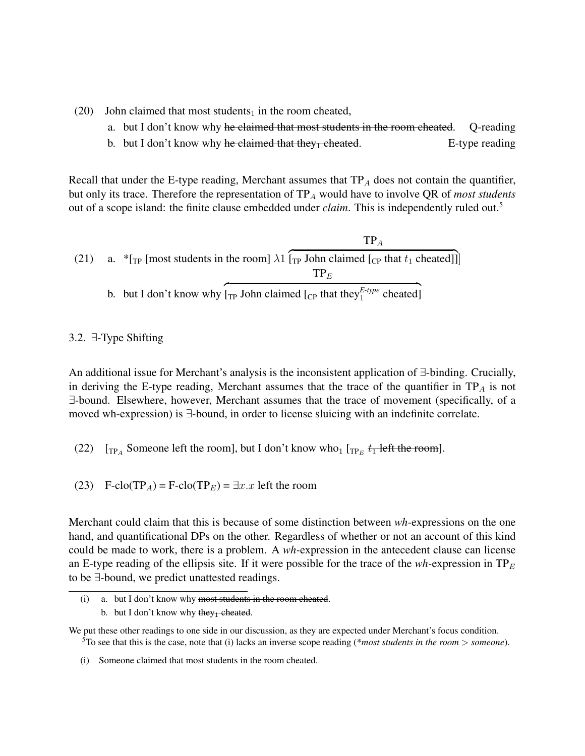- (20) John claimed that most students<sub>1</sub> in the room cheated,
	- a. but I don't know why he claimed that most students in the room cheated. Q-reading
	- b. but I don't know why he claimed that they cheated.  $E$ -type reading

Recall that under the E-type reading, Merchant assumes that  $TP_A$  does not contain the quantifier, but only its trace. Therefore the representation of TP<sub>A</sub> would have to involve QR of *most students* out of a scope island: the finite clause embedded under *claim*. This is independently ruled out.<sup>5</sup>

(21) a. 
$$
{}^{*}
$$
[r<sub>P</sub> [most students in the room]  $\lambda_1$  [r<sub>P</sub> John claimed [c<sub>P</sub> that  $t_1$  cheated]]]  ${}^{*}$ [r<sub>P</sub> John claimed [c<sub>P</sub> that  $t_1$  cheated]]

#### 3.2. ∃-Type Shifting

An additional issue for Merchant's analysis is the inconsistent application of ∃-binding. Crucially, in deriving the E-type reading, Merchant assumes that the trace of the quantifier in  $TP_A$  is not ∃-bound. Elsewhere, however, Merchant assumes that the trace of movement (specifically, of a moved wh-expression) is ∃-bound, in order to license sluicing with an indefinite correlate.

- (22)  $[\text{TP}_A$  Someone left the room], but I don't know who<sub>1</sub>  $[\text{TP}_E$   $t_1$  left the room].
- (23) F-clo(TP<sub>A</sub>) = F-clo(TP<sub>E</sub>) =  $\exists x.x$  left the room

Merchant could claim that this is because of some distinction between *wh-*expressions on the one hand, and quantificational DPs on the other. Regardless of whether or not an account of this kind could be made to work, there is a problem. A *wh-*expression in the antecedent clause can license an E-type reading of the ellipsis site. If it were possible for the trace of the  $wh$ -expression in  $TP_E$ to be ∃-bound, we predict unattested readings.

<sup>(</sup>i) a. but I don't know why most students in the room cheated. b. but I don't know why they<sub>1</sub> cheated.

We put these other readings to one side in our discussion, as they are expected under Merchant's focus condition. <sup>5</sup>To see that this is the case, note that (i) lacks an inverse scope reading (\**most students in the room* > *someone*).

<sup>(</sup>i) Someone claimed that most students in the room cheated.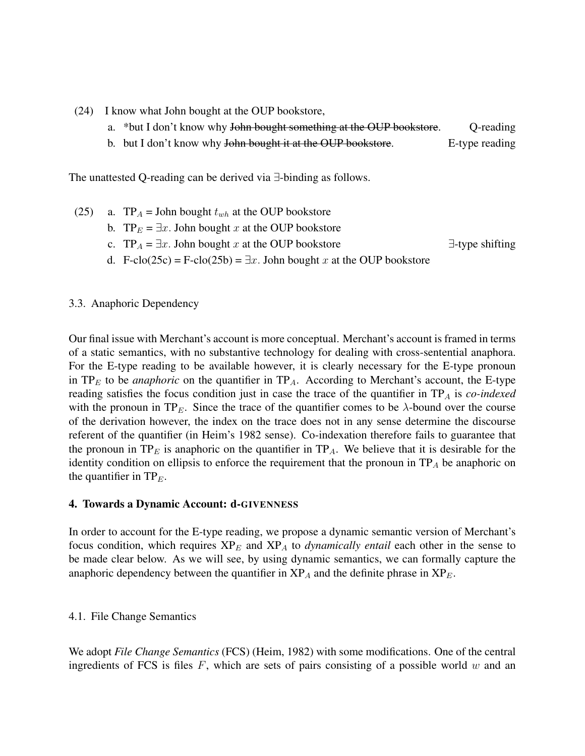- (24) I know what John bought at the OUP bookstore,
	- a. \*but I don't know why John bought something at the OUP bookstore. Q-reading
	- b. but I don't know why John bought it at the OUP bookstore. E-type reading

The unattested Q-reading can be derived via ∃-binding as follows.

- (25) a. TP<sub>A</sub> = John bought  $t_{wh}$  at the OUP bookstore b. TP $_E = \exists x$ . John bought x at the OUP bookstore
	- c. TP<sub>A</sub> =  $\exists x$ . John bought x at the OUP bookstore  $\exists$ -type shifting
	- d. F-clo(25c) = F-clo(25b) =  $\exists x$ . John bought x at the OUP bookstore

### 3.3. Anaphoric Dependency

Our final issue with Merchant's account is more conceptual. Merchant's account is framed in terms of a static semantics, with no substantive technology for dealing with cross-sentential anaphora. For the E-type reading to be available however, it is clearly necessary for the E-type pronoun in  $TP_E$  to be *anaphoric* on the quantifier in  $TP_A$ . According to Merchant's account, the E-type reading satisfies the focus condition just in case the trace of the quantifier in TP<sub>A</sub> is *co-indexed* with the pronoun in TP<sub>E</sub>. Since the trace of the quantifier comes to be  $\lambda$ -bound over the course of the derivation however, the index on the trace does not in any sense determine the discourse referent of the quantifier (in Heim's 1982 sense). Co-indexation therefore fails to guarantee that the pronoun in  $TP_E$  is anaphoric on the quantifier in  $TP_A$ . We believe that it is desirable for the identity condition on ellipsis to enforce the requirement that the pronoun in  $TP_A$  be anaphoric on the quantifier in  $TP_E$ .

### 4. Towards a Dynamic Account: d-GIVENNESS

In order to account for the E-type reading, we propose a dynamic semantic version of Merchant's focus condition, which requires  $XP_E$  and  $XP_A$  to *dynamically entail* each other in the sense to be made clear below. As we will see, by using dynamic semantics, we can formally capture the anaphoric dependency between the quantifier in  $XP_A$  and the definite phrase in  $XP_E$ .

#### 4.1. File Change Semantics

We adopt *File Change Semantics* (FCS) (Heim, 1982) with some modifications. One of the central ingredients of FCS is files  $F$ , which are sets of pairs consisting of a possible world w and an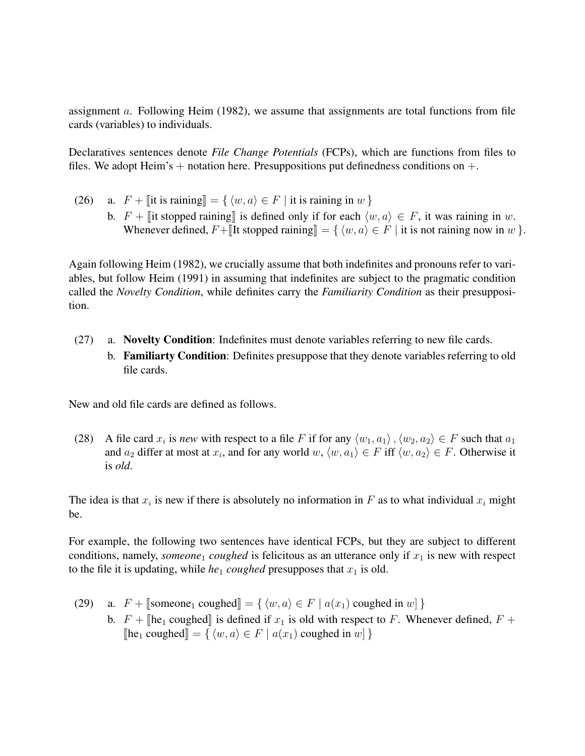assignment a. Following Heim (1982), we assume that assignments are total functions from file cards (variables) to individuals.

Declaratives sentences denote *File Change Potentials* (FCPs), which are functions from files to files. We adopt Heim's  $+$  notation here. Presuppositions put definedness conditions on  $+$ .

(26) a.  $F + \lVert \text{it is raining} \rVert = \{ \langle w, a \rangle \in F \mid \text{it is raining in } w \}$ b.  $F + \mathbb{I}$  it stopped raining is defined only if for each  $\langle w, a \rangle \in F$ , it was raining in w. Whenever defined,  $F + \llbracket$ It stopped raining $\rrbracket = \{ \langle w, a \rangle \in F \mid \text{it is not raining now in } w \}.$ 

Again following Heim (1982), we crucially assume that both indefinites and pronouns refer to variables, but follow Heim (1991) in assuming that indefinites are subject to the pragmatic condition called the *Novelty Condition*, while definites carry the *Familiarity Condition* as their presupposition.

- (27) a. Novelty Condition: Indefinites must denote variables referring to new file cards.
	- b. Familiarty Condition: Definites presuppose that they denote variables referring to old file cards.

New and old file cards are defined as follows.

(28) A file card  $x_i$  is *new* with respect to a file F if for any  $\langle w_1, a_1 \rangle$ ,  $\langle w_2, a_2 \rangle \in F$  such that  $a_1$ and  $a_2$  differ at most at  $x_i$ , and for any world  $w, \langle w, a_1 \rangle \in F$  iff  $\langle w, a_2 \rangle \in F$ . Otherwise it is *old*.

The idea is that  $x_i$  is new if there is absolutely no information in F as to what individual  $x_i$  might be.

For example, the following two sentences have identical FCPs, but they are subject to different conditions, namely, *someone*<sub>1</sub> *coughed* is felicitous as an utterance only if  $x_1$  is new with respect to the file it is updating, while  $he_1$  *coughed* presupposes that  $x_1$  is old.

- (29) a.  $F +$  [someone<sub>1</sub> coughed] = {  $\langle w, a \rangle \in F | a(x_1)$  coughed in w] }
	- b.  $F + \mathbb{I}$ he<sub>1</sub> coughed $\mathbb{I}$  is defined if  $x_1$  is old with respect to F. Whenever defined,  $F +$  $\lbrack \lbrack \mathbf{he}_1 \text{ coupled} \rbrack = \{ \langle w, a \rangle \in F \mid a(x_1) \text{ coupled in } w \rbrack \}$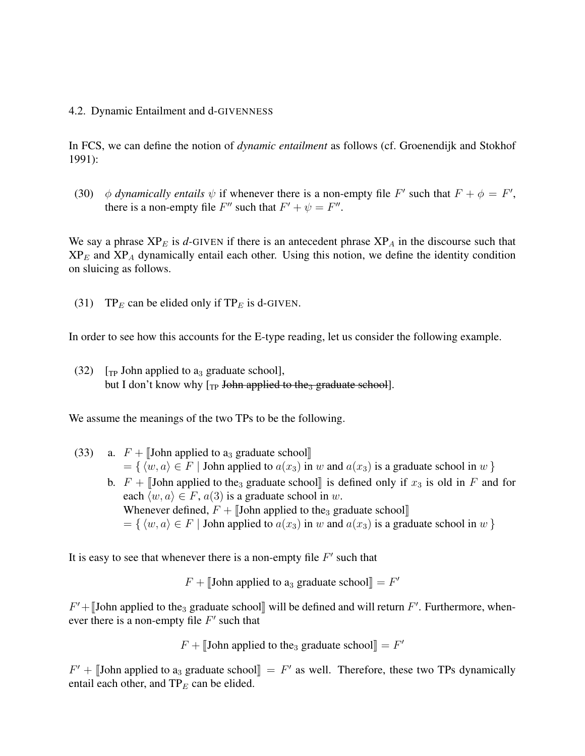#### 4.2. Dynamic Entailment and d-GIVENNESS

In FCS, we can define the notion of *dynamic entailment* as follows (cf. Groenendijk and Stokhof 1991):

(30)  $\phi$  *dynamically entails*  $\psi$  if whenever there is a non-empty file F' such that  $F + \phi = F'$ , there is a non-empty file  $F''$  such that  $F' + \psi = F''$ .

We say a phrase  $XP_E$  is *d*-GIVEN if there is an antecedent phrase  $XP_A$  in the discourse such that  $XP_E$  and  $XP_A$  dynamically entail each other. Using this notion, we define the identity condition on sluicing as follows.

(31) TP<sub>E</sub> can be elided only if TP<sub>E</sub> is d-GIVEN.

In order to see how this accounts for the E-type reading, let us consider the following example.

(32)  $\lceil_{\text{TP}}$  John applied to a<sub>3</sub> graduate school], but I don't know why  $\lceil_{TP}$  John applied to the<sub>3</sub> graduate school].

We assume the meanings of the two TPs to be the following.

- (33) a.  $F +$  [John applied to a<sub>3</sub> graduate school]  $= \{ \langle w, a \rangle \in F |$  John applied to  $a(x_3)$  in w and  $a(x_3)$  is a graduate school in w }
	- b.  $F + \text{John applied to the}_3$  graduate school, is defined only if  $x_3$  is old in F and for each  $\langle w, a \rangle \in F$ ,  $a(3)$  is a graduate school in w. Whenever defined,  $F +$  John applied to the<sub>3</sub> graduate school  $= \{ \langle w, a \rangle \in F |$  John applied to  $a(x_3)$  in w and  $a(x_3)$  is a graduate school in w }

It is easy to see that whenever there is a non-empty file  $F'$  such that

 $F + \llbracket$ John applied to a<sub>3</sub> graduate school $\rrbracket = F'$ 

 $F' +$  [John applied to the<sub>3</sub> graduate school] will be defined and will return  $F'$ . Furthermore, whenever there is a non-empty file  $F'$  such that

 $F + [John applied to the<sub>3</sub> graduate school] = F'$ 

 $F' +$  [John applied to a<sub>3</sub> graduate school] =  $F'$  as well. Therefore, these two TPs dynamically entail each other and TP, can be objected entail each other, and  $TP_E$  can be elided.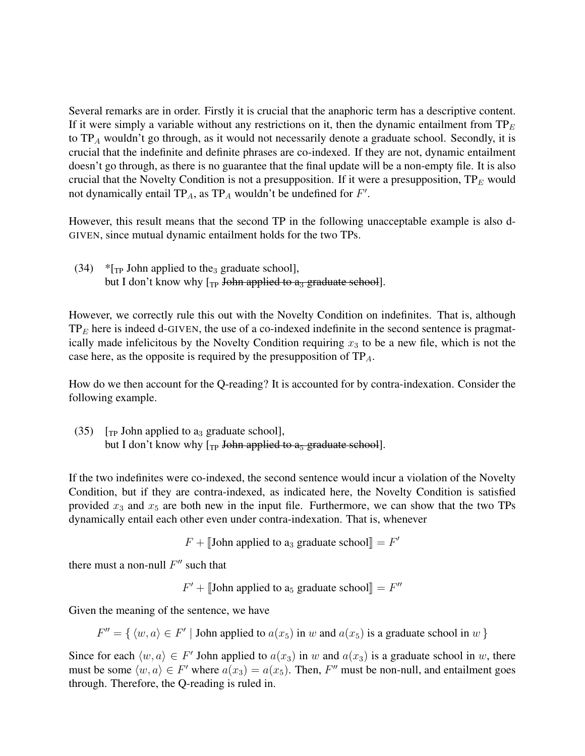Several remarks are in order. Firstly it is crucial that the anaphoric term has a descriptive content. If it were simply a variable without any restrictions on it, then the dynamic entailment from  $TP_E$ to  $TP_A$  wouldn't go through, as it would not necessarily denote a graduate school. Secondly, it is crucial that the indefinite and definite phrases are co-indexed. If they are not, dynamic entailment doesn't go through, as there is no guarantee that the final update will be a non-empty file. It is also crucial that the Novelty Condition is not a presupposition. If it were a presupposition,  $TP_E$  would not dynamically entail TP<sub>A</sub>, as TP<sub>A</sub> wouldn't be undefined for  $F'$ .

However, this result means that the second TP in the following unacceptable example is also d-GIVEN, since mutual dynamic entailment holds for the two TPs.

(34) \* $[\text{TP}$  John applied to the<sub>3</sub> graduate school], but I don't know why  $\lceil_{TP}$  John applied to  $a_3$  graduate school].

However, we correctly rule this out with the Novelty Condition on indefinites. That is, although  $TP<sub>E</sub>$  here is indeed d-GIVEN, the use of a co-indexed indefinite in the second sentence is pragmatically made infelicitous by the Novelty Condition requiring  $x_3$  to be a new file, which is not the case here, as the opposite is required by the presupposition of  $TP_A$ .

How do we then account for the Q-reading? It is accounted for by contra-indexation. Consider the following example.

(35)  $\lbrack$ <sub>TP</sub> John applied to a<sub>3</sub> graduate school], but I don't know why  $\lceil_{TP}$  John applied to  $a_5$  graduate school].

If the two indefinites were co-indexed, the second sentence would incur a violation of the Novelty Condition, but if they are contra-indexed, as indicated here, the Novelty Condition is satisfied provided  $x_3$  and  $x_5$  are both new in the input file. Furthermore, we can show that the two TPs dynamically entail each other even under contra-indexation. That is, whenever

 $F + \llbracket$ John applied to a<sub>3</sub> graduate school $\rrbracket = F'$ 

there must a non-null  $F''$  such that

 $F' + [\text{John applied to a}_5 \text{ graduate school}] = F''$ 

Given the meaning of the sentence, we have

 $F'' = \{ \langle w, a \rangle \in F' \mid \text{John applied to } a(x_5) \text{ in } w \text{ and } a(x_5) \text{ is a graduate school in } w \}$ 

Since for each  $\langle w, a \rangle \in F'$  John applied to  $a(x_3)$  in w and  $a(x_3)$  is a graduate school in w, there must be some  $\langle w, a \rangle \in F'$  where  $a(x_3) = a(x_5)$ . Then, F'' must be non-null, and entailment goes through. Therefore, the Q-reading is ruled in.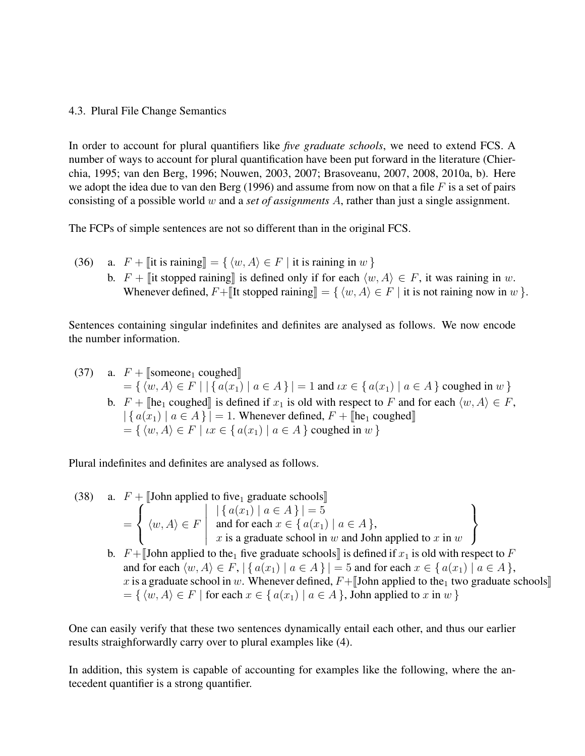4.3. Plural File Change Semantics

In order to account for plural quantifiers like *five graduate schools*, we need to extend FCS. A number of ways to account for plural quantification have been put forward in the literature (Chierchia, 1995; van den Berg, 1996; Nouwen, 2003, 2007; Brasoveanu, 2007, 2008, 2010a, b). Here we adopt the idea due to van den Berg (1996) and assume from now on that a file  $F$  is a set of pairs consisting of a possible world w and a *set of assignments* A, rather than just a single assignment.

The FCPs of simple sentences are not so different than in the original FCS.

(36) a.  $F + \lVert \text{it is raining} \rVert = \{ \langle w, A \rangle \in F \mid \text{it is raining in } w \}$ b.  $F + \mathbb{I}$  it stopped raining is defined only if for each  $\langle w, A \rangle \in F$ , it was raining in w. Whenever defined,  $F + \llbracket$ It stopped raining  $\rrbracket = \{ \langle w, A \rangle \in F |$  it is not raining now in w  $\}.$ 

Sentences containing singular indefinites and definites are analysed as follows. We now encode the number information.

(37) a. 
$$
F + \llbracket
$$
 someone<sub>1</sub> coupled $\rrbracket$ \n $= \{ \langle w, A \rangle \in F \mid |\{ a(x_1) \mid a \in A \} | = 1 \text{ and } \iota x \in \{ a(x_1) \mid a \in A \}$  coupled in  $w \}$ \nb.  $F + \llbracket$ he<sub>1</sub> coupled $\rrbracket$  is defined if  $x_1$  is old with respect to  $F$  and for each  $\langle w, A \rangle \in F$ ,  $|\{ a(x_1) \mid a \in A \} | = 1$ . Whenever defined,  $F + \llbracket$ he<sub>1</sub> coupled $\rrbracket$ \n $= \{ \langle w, A \rangle \in F \mid \iota x \in \{ a(x_1) \mid a \in A \}$  coupled in  $w \}$ 

Plural indefinites and definites are analysed as follows.

(38) a.  $F + [\text{John applied to five}_1 \text{ graduate schools}]$ =  $\sqrt{ }$  $\int$  $\mathcal{L}$  $\langle w, A \rangle \in F$   $|\{a(x_1) \mid a \in A\}| = 5$ and for each  $x \in \{a(x_1) \mid a \in A\}$ , x is a graduate school in  $w$  and John applied to  $x$  in  $w$  $\mathcal{L}$  $\mathcal{L}$  $\int$ b.  $F + \llbracket$ John applied to the<sub>1</sub> five graduate schools $\llbracket$  is defined if  $x_1$  is old with respect to F

and for each  $\langle w, A \rangle \in F$ ,  $| \{ a(x_1) | a \in A \} | = 5$  and for each  $x \in \{ a(x_1) | a \in A \}$ , x is a graduate school in w. Whenever defined,  $F +$  John applied to the<sub>1</sub> two graduate schools  $=\{ \langle w, A \rangle \in F \mid \text{for each } x \in \{ a(x_1) \mid a \in A \}$ , John applied to x in w }

One can easily verify that these two sentences dynamically entail each other, and thus our earlier results straighforwardly carry over to plural examples like (4).

In addition, this system is capable of accounting for examples like the following, where the antecedent quantifier is a strong quantifier.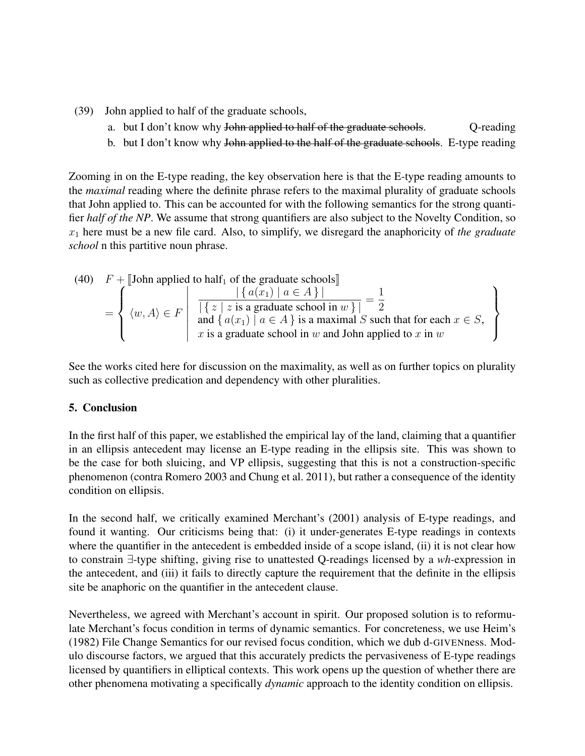- (39) John applied to half of the graduate schools,
	- a. but I don't know why John applied to half of the graduate schools. Q-reading
	- b. but I don't know why John applied to the half of the graduate schools. E-type reading

Zooming in on the E-type reading, the key observation here is that the E-type reading amounts to the *maximal* reading where the definite phrase refers to the maximal plurality of graduate schools that John applied to. This can be accounted for with the following semantics for the strong quantifier *half of the NP*. We assume that strong quantifiers are also subject to the Novelty Condition, so  $x_1$  here must be a new file card. Also, to simplify, we disregard the anaphoricity of *the graduate school* n this partitive noun phrase.

(40) 
$$
F + \text{[John applied to half}_1 \text{ of the graduate schools]} = \left\{ \langle w, A \rangle \in F \mid \frac{|\{a(x_1) \mid a \in A\}|}{|\{z \mid z \text{ is a graduate school in } w\}|} = \frac{1}{2}
$$
  
and  $\{a(x_1) \mid a \in A\}$  is a maximal  $S$  such that for each  $x \in S$ ,  
 $x$  is a graduate school in  $w$  and John applied to  $x$  in  $w$ 

See the works cited here for discussion on the maximality, as well as on further topics on plurality such as collective predication and dependency with other pluralities.

## 5. Conclusion

In the first half of this paper, we established the empirical lay of the land, claiming that a quantifier in an ellipsis antecedent may license an E-type reading in the ellipsis site. This was shown to be the case for both sluicing, and VP ellipsis, suggesting that this is not a construction-specific phenomenon (contra Romero 2003 and Chung et al. 2011), but rather a consequence of the identity condition on ellipsis.

In the second half, we critically examined Merchant's (2001) analysis of E-type readings, and found it wanting. Our criticisms being that: (i) it under-generates E-type readings in contexts where the quantifier in the antecedent is embedded inside of a scope island, (ii) it is not clear how to constrain ∃-type shifting, giving rise to unattested Q-readings licensed by a *wh-*expression in the antecedent, and (iii) it fails to directly capture the requirement that the definite in the ellipsis site be anaphoric on the quantifier in the antecedent clause.

Nevertheless, we agreed with Merchant's account in spirit. Our proposed solution is to reformulate Merchant's focus condition in terms of dynamic semantics. For concreteness, we use Heim's (1982) File Change Semantics for our revised focus condition, which we dub d-GIVENness. Modulo discourse factors, we argued that this accurately predicts the pervasiveness of E-type readings licensed by quantifiers in elliptical contexts. This work opens up the question of whether there are other phenomena motivating a specifically *dynamic* approach to the identity condition on ellipsis.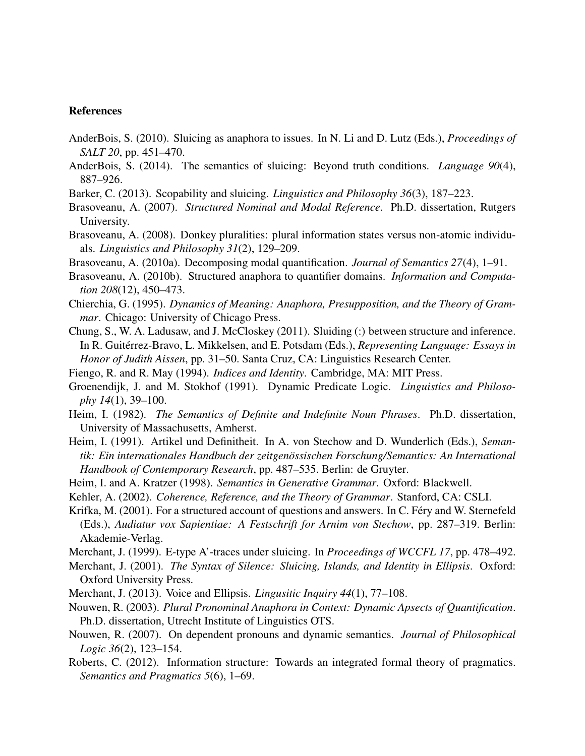#### References

- AnderBois, S. (2010). Sluicing as anaphora to issues. In N. Li and D. Lutz (Eds.), *Proceedings of SALT 20*, pp. 451–470.
- AnderBois, S. (2014). The semantics of sluicing: Beyond truth conditions. *Language 90*(4), 887–926.
- Barker, C. (2013). Scopability and sluicing. *Linguistics and Philosophy 36*(3), 187–223.
- Brasoveanu, A. (2007). *Structured Nominal and Modal Reference*. Ph.D. dissertation, Rutgers University.
- Brasoveanu, A. (2008). Donkey pluralities: plural information states versus non-atomic individuals. *Linguistics and Philosophy 31*(2), 129–209.
- Brasoveanu, A. (2010a). Decomposing modal quantification. *Journal of Semantics 27*(4), 1–91.
- Brasoveanu, A. (2010b). Structured anaphora to quantifier domains. *Information and Computation 208*(12), 450–473.
- Chierchia, G. (1995). *Dynamics of Meaning: Anaphora, Presupposition, and the Theory of Grammar*. Chicago: University of Chicago Press.
- Chung, S., W. A. Ladusaw, and J. McCloskey (2011). Sluiding (:) between structure and inference. In R. Guitérrez-Bravo, L. Mikkelsen, and E. Potsdam (Eds.), *Representing Language: Essays in Honor of Judith Aissen*, pp. 31–50. Santa Cruz, CA: Linguistics Research Center.
- Fiengo, R. and R. May (1994). *Indices and Identity*. Cambridge, MA: MIT Press.
- Groenendijk, J. and M. Stokhof (1991). Dynamic Predicate Logic. *Linguistics and Philosophy 14*(1), 39–100.
- Heim, I. (1982). *The Semantics of Definite and Indefinite Noun Phrases*. Ph.D. dissertation, University of Massachusetts, Amherst.
- Heim, I. (1991). Artikel und Definitheit. In A. von Stechow and D. Wunderlich (Eds.), *Semantik: Ein internationales Handbuch der zeitgenossischen Forschung/Semantics: An International ¨ Handbook of Contemporary Research*, pp. 487–535. Berlin: de Gruyter.
- Heim, I. and A. Kratzer (1998). *Semantics in Generative Grammar*. Oxford: Blackwell.
- Kehler, A. (2002). *Coherence, Reference, and the Theory of Grammar*. Stanford, CA: CSLI.
- Krifka, M. (2001). For a structured account of questions and answers. In C. Féry and W. Sternefeld (Eds.), *Audiatur vox Sapientiae: A Festschrift for Arnim von Stechow*, pp. 287–319. Berlin: Akademie-Verlag.
- Merchant, J. (1999). E-type A'-traces under sluicing. In *Proceedings of WCCFL 17*, pp. 478–492.
- Merchant, J. (2001). *The Syntax of Silence: Sluicing, Islands, and Identity in Ellipsis*. Oxford: Oxford University Press.
- Merchant, J. (2013). Voice and Ellipsis. *Lingusitic Inquiry 44*(1), 77–108.
- Nouwen, R. (2003). *Plural Pronominal Anaphora in Context: Dynamic Apsects of Quantification*. Ph.D. dissertation, Utrecht Institute of Linguistics OTS.
- Nouwen, R. (2007). On dependent pronouns and dynamic semantics. *Journal of Philosophical Logic 36*(2), 123–154.
- Roberts, C. (2012). Information structure: Towards an integrated formal theory of pragmatics. *Semantics and Pragmatics 5*(6), 1–69.